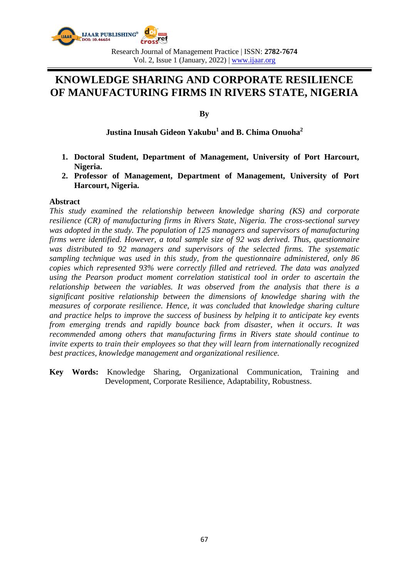

Research Journal of Management Practice | ISSN: **2782-7674** Vol. 2, Issue 1 (January, 2022) | www.ijaar.org

# **KNOWLEDGE SHARING AND CORPORATE RESILIENCE OF MANUFACTURING FIRMS IN RIVERS STATE, NIGERIA**

**By**

**Justina Inusah Gideon Yakubu<sup>1</sup> and B. Chima Onuoha<sup>2</sup>**

- **1. Doctoral Student, Department of Management, University of Port Harcourt, Nigeria.**
- **2. Professor of Management, Department of Management, University of Port Harcourt, Nigeria.**

#### **Abstract**

*This study examined the relationship between knowledge sharing (KS) and corporate resilience (CR) of manufacturing firms in Rivers State, Nigeria. The cross-sectional survey was adopted in the study. The population of 125 managers and supervisors of manufacturing firms were identified. However, a total sample size of 92 was derived. Thus, questionnaire was distributed to 92 managers and supervisors of the selected firms. The systematic sampling technique was used in this study, from the questionnaire administered, only 86 copies which represented 93% were correctly filled and retrieved. The data was analyzed using the Pearson product moment correlation statistical tool in order to ascertain the relationship between the variables. It was observed from the analysis that there is a significant positive relationship between the dimensions of knowledge sharing with the measures of corporate resilience. Hence, it was concluded that knowledge sharing culture and practice helps to improve the success of business by helping it to anticipate key events from emerging trends and rapidly bounce back from disaster, when it occurs. It was recommended among others that manufacturing firms in Rivers state should continue to invite experts to train their employees so that they will learn from internationally recognized best practices, knowledge management and organizational resilience.*

**Key Words:** Knowledge Sharing, Organizational Communication, Training and Development, Corporate Resilience, Adaptability, Robustness.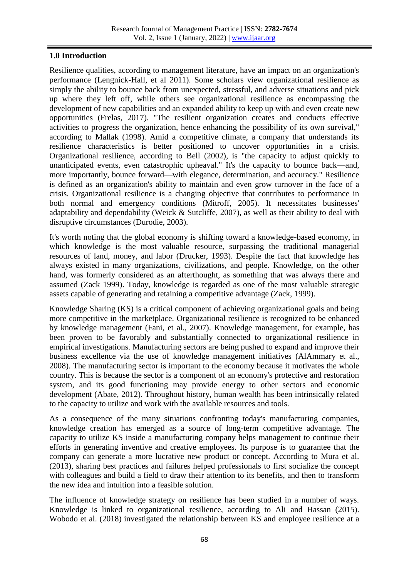# **1.0 Introduction**

Resilience qualities, according to management literature, have an impact on an organization's performance (Lengnick-Hall, et al 2011). Some scholars view organizational resilience as simply the ability to bounce back from unexpected, stressful, and adverse situations and pick up where they left off, while others see organizational resilience as encompassing the development of new capabilities and an expanded ability to keep up with and even create new opportunities (Frelas, 2017). "The resilient organization creates and conducts effective activities to progress the organization, hence enhancing the possibility of its own survival," according to Mallak (1998). Amid a competitive climate, a company that understands its resilience characteristics is better positioned to uncover opportunities in a crisis. Organizational resilience, according to Bell (2002), is "the capacity to adjust quickly to unanticipated events, even catastrophic upheaval." It's the capacity to bounce back—and, more importantly, bounce forward—with elegance, determination, and accuracy." Resilience is defined as an organization's ability to maintain and even grow turnover in the face of a crisis. Organizational resilience is a changing objective that contributes to performance in both normal and emergency conditions (Mitroff, 2005). It necessitates businesses' adaptability and dependability (Weick & Sutcliffe, 2007), as well as their ability to deal with disruptive circumstances (Durodie, 2003).

It's worth noting that the global economy is shifting toward a knowledge-based economy, in which knowledge is the most valuable resource, surpassing the traditional managerial resources of land, money, and labor (Drucker, 1993). Despite the fact that knowledge has always existed in many organizations, civilizations, and people. Knowledge, on the other hand, was formerly considered as an afterthought, as something that was always there and assumed (Zack 1999). Today, knowledge is regarded as one of the most valuable strategic assets capable of generating and retaining a competitive advantage (Zack, 1999).

Knowledge Sharing (KS) is a critical component of achieving organizational goals and being more competitive in the marketplace. Organizational resilience is recognized to be enhanced by knowledge management (Fani, et al., 2007). Knowledge management, for example, has been proven to be favorably and substantially connected to organizational resilience in empirical investigations. Manufacturing sectors are being pushed to expand and improve their business excellence via the use of knowledge management initiatives (AlAmmary et al., 2008). The manufacturing sector is important to the economy because it motivates the whole country. This is because the sector is a component of an economy's protective and restoration system, and its good functioning may provide energy to other sectors and economic development (Abate, 2012). Throughout history, human wealth has been intrinsically related to the capacity to utilize and work with the available resources and tools.

As a consequence of the many situations confronting today's manufacturing companies, knowledge creation has emerged as a source of long-term competitive advantage. The capacity to utilize KS inside a manufacturing company helps management to continue their efforts in generating inventive and creative employees. Its purpose is to guarantee that the company can generate a more lucrative new product or concept. According to Mura et al. (2013), sharing best practices and failures helped professionals to first socialize the concept with colleagues and build a field to draw their attention to its benefits, and then to transform the new idea and intuition into a feasible solution.

The influence of knowledge strategy on resilience has been studied in a number of ways. Knowledge is linked to organizational resilience, according to Ali and Hassan (2015). Wobodo et al. (2018) investigated the relationship between KS and employee resilience at a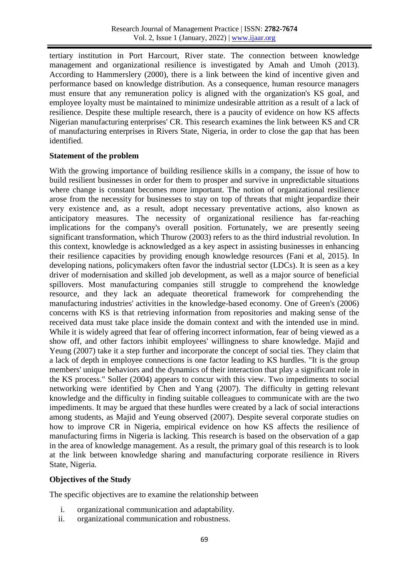tertiary institution in Port Harcourt, River state. The connection between knowledge management and organizational resilience is investigated by Amah and Umoh (2013). According to Hammerslery (2000), there is a link between the kind of incentive given and performance based on knowledge distribution. As a consequence, human resource managers must ensure that any remuneration policy is aligned with the organization's KS goal, and employee loyalty must be maintained to minimize undesirable attrition as a result of a lack of resilience. Despite these multiple research, there is a paucity of evidence on how KS affects Nigerian manufacturing enterprises' CR. This research examines the link between KS and CR of manufacturing enterprises in Rivers State, Nigeria, in order to close the gap that has been identified.

## **Statement of the problem**

With the growing importance of building resilience skills in a company, the issue of how to build resilient businesses in order for them to prosper and survive in unpredictable situations where change is constant becomes more important. The notion of organizational resilience arose from the necessity for businesses to stay on top of threats that might jeopardize their very existence and, as a result, adopt necessary preventative actions, also known as anticipatory measures. The necessity of organizational resilience has far-reaching implications for the company's overall position. Fortunately, we are presently seeing significant transformation, which Thurow (2003) refers to as the third industrial revolution. In this context, knowledge is acknowledged as a key aspect in assisting businesses in enhancing their resilience capacities by providing enough knowledge resources (Fani et al, 2015). In developing nations, policymakers often favor the industrial sector (LDCs). It is seen as a key driver of modernisation and skilled job development, as well as a major source of beneficial spillovers. Most manufacturing companies still struggle to comprehend the knowledge resource, and they lack an adequate theoretical framework for comprehending the manufacturing industries' activities in the knowledge-based economy. One of Green's (2006) concerns with KS is that retrieving information from repositories and making sense of the received data must take place inside the domain context and with the intended use in mind. While it is widely agreed that fear of offering incorrect information, fear of being viewed as a show off, and other factors inhibit employees' willingness to share knowledge. Majid and Yeung (2007) take it a step further and incorporate the concept of social ties. They claim that a lack of depth in employee connections is one factor leading to KS hurdles. "It is the group members' unique behaviors and the dynamics of their interaction that play a significant role in the KS process." Soller (2004) appears to concur with this view. Two impediments to social networking were identified by Chen and Yang (2007). The difficulty in getting relevant knowledge and the difficulty in finding suitable colleagues to communicate with are the two impediments. It may be argued that these hurdles were created by a lack of social interactions among students, as Majid and Yeung observed (2007). Despite several corporate studies on how to improve CR in Nigeria, empirical evidence on how KS affects the resilience of manufacturing firms in Nigeria is lacking. This research is based on the observation of a gap in the area of knowledge management. As a result, the primary goal of this research is to look at the link between knowledge sharing and manufacturing corporate resilience in Rivers State, Nigeria.

## **Objectives of the Study**

The specific objectives are to examine the relationship between

- i. organizational communication and adaptability.
- ii. organizational communication and robustness.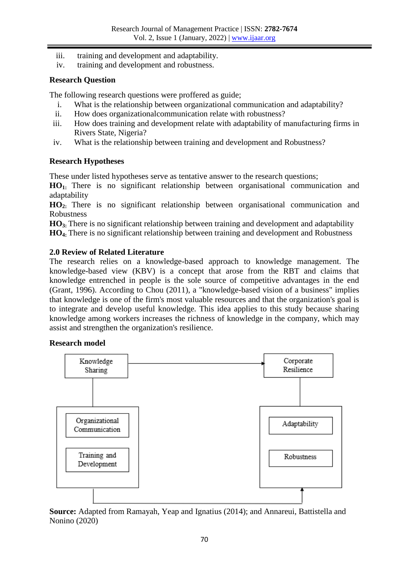- iii. training and development and adaptability.
- iv. training and development and robustness.

## **Research Question**

The following research questions were proffered as guide;

- i. What is the relationship between organizational communication and adaptability?
- ii. How does organizationalcommunication relate with robustness?
- iii. How does training and development relate with adaptability of manufacturing firms in Rivers State, Nigeria?
- iv. What is the relationship between training and development and Robustness?

## **Research Hypotheses**

These under listed hypotheses serve as tentative answer to the research questions;

**HO1:** There is no significant relationship between organisational communication and adaptability

**HO2:** There is no significant relationship between organisational communication and Robustness

**HO3:** There is no significant relationship between training and development and adaptability **HO4:** There is no significant relationship between training and development and Robustness

## **2.0 Review of Related Literature**

The research relies on a knowledge-based approach to knowledge management. The knowledge-based view (KBV) is a concept that arose from the RBT and claims that knowledge entrenched in people is the sole source of competitive advantages in the end (Grant, 1996). According to Chou (2011), a "knowledge-based vision of a business" implies that knowledge is one of the firm's most valuable resources and that the organization's goal is to integrate and develop useful knowledge. This idea applies to this study because sharing knowledge among workers increases the richness of knowledge in the company, which may assist and strengthen the organization's resilience.

## **Research model**



**Source:** Adapted from Ramayah, Yeap and Ignatius (2014); and Annareui, Battistella and Nonino (2020)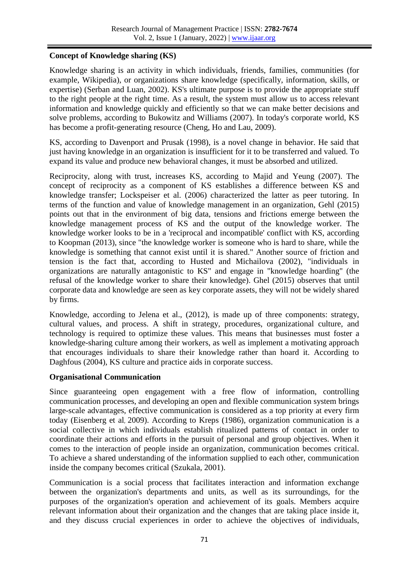# **Concept of Knowledge sharing (KS)**

Knowledge sharing is an activity in which individuals, friends, families, communities (for example, Wikipedia), or organizations share knowledge (specifically, information, skills, or expertise) (Serban and Luan, 2002). KS's ultimate purpose is to provide the appropriate stuff to the right people at the right time. As a result, the system must allow us to access relevant information and knowledge quickly and efficiently so that we can make better decisions and solve problems, according to Bukowitz and Williams (2007). In today's corporate world, KS has become a profit-generating resource (Cheng, Ho and Lau, 2009).

KS, according to Davenport and Prusak (1998), is a novel change in behavior. He said that just having knowledge in an organization is insufficient for it to be transferred and valued. To expand its value and produce new behavioral changes, it must be absorbed and utilized.

Reciprocity, along with trust, increases KS, according to Majid and Yeung (2007). The concept of reciprocity as a component of KS establishes a difference between KS and knowledge transfer; Lockspeiser et al. (2006) characterized the latter as peer tutoring. In terms of the function and value of knowledge management in an organization, Gehl (2015) points out that in the environment of big data, tensions and frictions emerge between the knowledge management process of KS and the output of the knowledge worker. The knowledge worker looks to be in a 'reciprocal and incompatible' conflict with KS, according to Koopman (2013), since "the knowledge worker is someone who is hard to share, while the knowledge is something that cannot exist until it is shared." Another source of friction and tension is the fact that, according to Husted and Michailova (2002), "individuals in organizations are naturally antagonistic to KS" and engage in "knowledge hoarding" (the refusal of the knowledge worker to share their knowledge). Ghel (2015) observes that until corporate data and knowledge are seen as key corporate assets, they will not be widely shared by firms.

Knowledge, according to Jelena et al., (2012), is made up of three components: strategy, cultural values, and process. A shift in strategy, procedures, organizational culture, and technology is required to optimize these values. This means that businesses must foster a knowledge-sharing culture among their workers, as well as implement a motivating approach that encourages individuals to share their knowledge rather than hoard it. According to Daghfous (2004), KS culture and practice aids in corporate success.

## **Organisational Communication**

Since guaranteeing open engagement with a free flow of information, controlling communication processes, and developing an open and flexible communication system brings large-scale advantages, effective communication is considered as a top priority at every firm today (Eisenberg et al, 2009). According to Kreps (1986), organization communication is a social collective in which individuals establish ritualized patterns of contact in order to coordinate their actions and efforts in the pursuit of personal and group objectives. When it comes to the interaction of people inside an organization, communication becomes critical. To achieve a shared understanding of the information supplied to each other, communication inside the company becomes critical (Szukala, 2001).

Communication is a social process that facilitates interaction and information exchange between the organization's departments and units, as well as its surroundings, for the purposes of the organization's operation and achievement of its goals. Members acquire relevant information about their organization and the changes that are taking place inside it, and they discuss crucial experiences in order to achieve the objectives of individuals,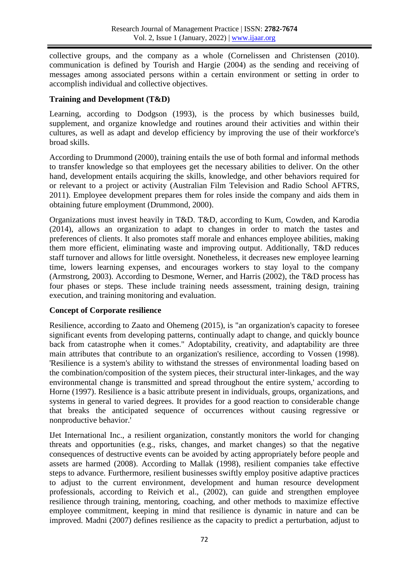collective groups, and the company as a whole (Cornelissen and Christensen (2010). communication is defined by Tourish and Hargie (2004) as the sending and receiving of messages among associated persons within a certain environment or setting in order to accomplish individual and collective objectives.

# **Training and Development (T&D)**

Learning, according to Dodgson (1993), is the process by which businesses build, supplement, and organize knowledge and routines around their activities and within their cultures, as well as adapt and develop efficiency by improving the use of their workforce's broad skills.

According to Drummond (2000), training entails the use of both formal and informal methods to transfer knowledge so that employees get the necessary abilities to deliver. On the other hand, development entails acquiring the skills, knowledge, and other behaviors required for or relevant to a project or activity (Australian Film Television and Radio School AFTRS, 2011). Employee development prepares them for roles inside the company and aids them in obtaining future employment (Drummond, 2000).

Organizations must invest heavily in T&D. T&D, according to Kum, Cowden, and Karodia (2014), allows an organization to adapt to changes in order to match the tastes and preferences of clients. It also promotes staff morale and enhances employee abilities, making them more efficient, eliminating waste and improving output. Additionally, T&D reduces staff turnover and allows for little oversight. Nonetheless, it decreases new employee learning time, lowers learning expenses, and encourages workers to stay loyal to the company (Armstrong, 2003). According to Desmone, Werner, and Harris (2002), the T&D process has four phases or steps. These include training needs assessment, training design, training execution, and training monitoring and evaluation.

## **Concept of Corporate resilience**

Resilience, according to Zaato and Ohemeng (2015), is "an organization's capacity to foresee significant events from developing patterns, continually adapt to change, and quickly bounce back from catastrophe when it comes." Adoptability, creativity, and adaptability are three main attributes that contribute to an organization's resilience, according to Vossen (1998). 'Resilience is a system's ability to withstand the stresses of environmental loading based on the combination/composition of the system pieces, their structural inter-linkages, and the way environmental change is transmitted and spread throughout the entire system,' according to Horne (1997). Resilience is a basic attribute present in individuals, groups, organizations, and systems in general to varied degrees. It provides for a good reaction to considerable change that breaks the anticipated sequence of occurrences without causing regressive or nonproductive behavior.'

IJet International Inc., a resilient organization, constantly monitors the world for changing threats and opportunities (e.g., risks, changes, and market changes) so that the negative consequences of destructive events can be avoided by acting appropriately before people and assets are harmed (2008). According to Mallak (1998), resilient companies take effective steps to advance. Furthermore, resilient businesses swiftly employ positive adaptive practices to adjust to the current environment, development and human resource development professionals, according to Reivich et al., (2002), can guide and strengthen employee resilience through training, mentoring, coaching, and other methods to maximize effective employee commitment, keeping in mind that resilience is dynamic in nature and can be improved. Madni (2007) defines resilience as the capacity to predict a perturbation, adjust to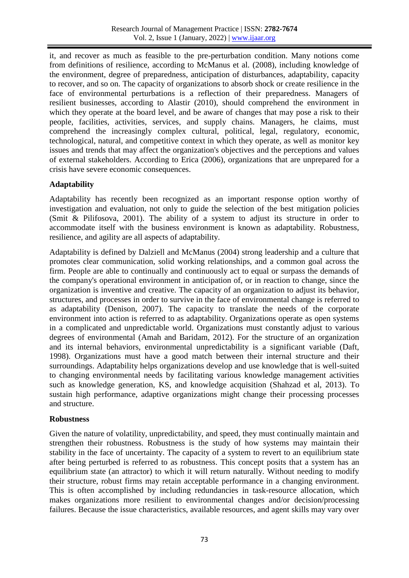it, and recover as much as feasible to the pre-perturbation condition. Many notions come from definitions of resilience, according to McManus et al. (2008), including knowledge of the environment, degree of preparedness, anticipation of disturbances, adaptability, capacity to recover, and so on. The capacity of organizations to absorb shock or create resilience in the face of environmental perturbations is a reflection of their preparedness. Managers of resilient businesses, according to Alastir (2010), should comprehend the environment in which they operate at the board level, and be aware of changes that may pose a risk to their people, facilities, activities, services, and supply chains. Managers, he claims, must comprehend the increasingly complex cultural, political, legal, regulatory, economic, technological, natural, and competitive context in which they operate, as well as monitor key issues and trends that may affect the organization's objectives and the perceptions and values of external stakeholders. According to Erica (2006), organizations that are unprepared for a crisis have severe economic consequences.

# **Adaptability**

Adaptability has recently been recognized as an important response option worthy of investigation and evaluation, not only to guide the selection of the best mitigation policies (Smit & Pilifosova, 2001). The ability of a system to adjust its structure in order to accommodate itself with the business environment is known as adaptability. Robustness, resilience, and agility are all aspects of adaptability.

Adaptability is defined by Dalziell and McManus (2004) strong leadership and a culture that promotes clear communication, solid working relationships, and a common goal across the firm. People are able to continually and continuously act to equal or surpass the demands of the company's operational environment in anticipation of, or in reaction to change, since the organization is inventive and creative. The capacity of an organization to adjust its behavior, structures, and processes in order to survive in the face of environmental change is referred to as adaptability (Denison, 2007). The capacity to translate the needs of the corporate environment into action is referred to as adaptability. Organizations operate as open systems in a complicated and unpredictable world. Organizations must constantly adjust to various degrees of environmental (Amah and Baridam, 2012). For the structure of an organization and its internal behaviors, environmental unpredictability is a significant variable (Daft, 1998). Organizations must have a good match between their internal structure and their surroundings. Adaptability helps organizations develop and use knowledge that is well-suited to changing environmental needs by facilitating various knowledge management activities such as knowledge generation, KS, and knowledge acquisition (Shahzad et al, 2013). To sustain high performance, adaptive organizations might change their processing processes and structure.

#### **Robustness**

Given the nature of volatility, unpredictability, and speed, they must continually maintain and strengthen their robustness. Robustness is the study of how systems may maintain their stability in the face of uncertainty. The capacity of a system to revert to an equilibrium state after being perturbed is referred to as robustness. This concept posits that a system has an equilibrium state (an attractor) to which it will return naturally. Without needing to modify their structure, robust firms may retain acceptable performance in a changing environment. This is often accomplished by including redundancies in task-resource allocation, which makes organizations more resilient to environmental changes and/or decision/processing failures. Because the issue characteristics, available resources, and agent skills may vary over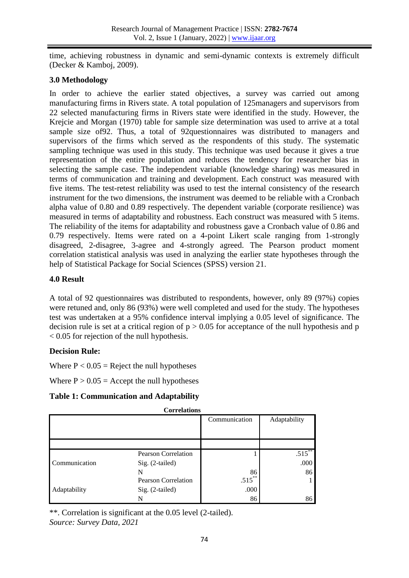time, achieving robustness in dynamic and semi-dynamic contexts is extremely difficult (Decker & Kamboj, 2009).

## **3.0 Methodology**

In order to achieve the earlier stated objectives, a survey was carried out among manufacturing firms in Rivers state. A total population of 125managers and supervisors from 22 selected manufacturing firms in Rivers state were identified in the study. However, the Krejcie and Morgan (1970) table for sample size determination was used to arrive at a total sample size of92. Thus, a total of 92questionnaires was distributed to managers and supervisors of the firms which served as the respondents of this study. The systematic sampling technique was used in this study. This technique was used because it gives a true representation of the entire population and reduces the tendency for researcher bias in selecting the sample case. The independent variable (knowledge sharing) was measured in terms of communication and training and development. Each construct was measured with five items. The test-retest reliability was used to test the internal consistency of the research instrument for the two dimensions, the instrument was deemed to be reliable with a Cronbach alpha value of 0.80 and 0.89 respectively. The dependent variable (corporate resilience) was measured in terms of adaptability and robustness. Each construct was measured with 5 items. The reliability of the items for adaptability and robustness gave a Cronbach value of 0.86 and 0.79 respectively. Items were rated on a 4-point Likert scale ranging from 1-strongly disagreed, 2-disagree, 3-agree and 4-strongly agreed. The Pearson product moment correlation statistical analysis was used in analyzing the earlier state hypotheses through the help of Statistical Package for Social Sciences (SPSS) version 21.

## **4.0 Result**

A total of 92 questionnaires was distributed to respondents, however, only 89 (97%) copies were retuned and, only 86 (93%) were well completed and used for the study. The hypotheses test was undertaken at a 95% confidence interval implying a 0.05 level of significance. The decision rule is set at a critical region of  $p > 0.05$  for acceptance of the null hypothesis and p < 0.05 for rejection of the null hypothesis.

## **Decision Rule:**

Where  $P < 0.05$  = Reject the null hypotheses

Where  $P > 0.05$  = Accept the null hypotheses

#### **Table 1: Communication and Adaptability**

| COLLETATIONS  |                            |               |              |  |
|---------------|----------------------------|---------------|--------------|--|
|               |                            | Communication | Adaptability |  |
|               |                            |               |              |  |
|               |                            |               |              |  |
| Communication | <b>Pearson Correlation</b> |               | $.515$ **    |  |
|               | $Sig. (2-tailed)$          |               | .000         |  |
|               | N                          | 86            | 86           |  |
| Adaptability  | Pearson Correlation        | $.515***$     |              |  |
|               | Sig. (2-tailed)            | .000          |              |  |
|               | N                          | 86            | 86           |  |

**Correlations**

\*\*. Correlation is significant at the 0.05 level (2-tailed).

*Source: Survey Data, 2021*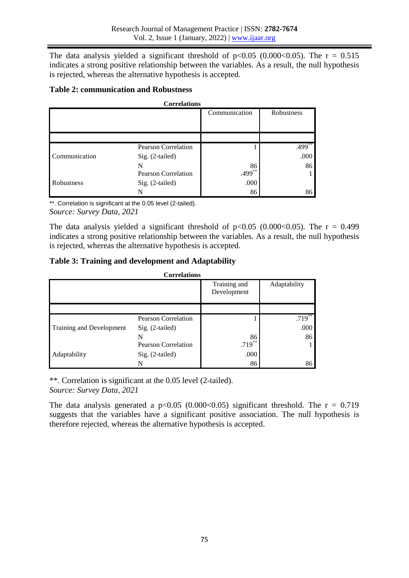The data analysis yielded a significant threshold of  $p<0.05$  (0.000 $<0.05$ ). The r = 0.515 indicates a strong positive relationship between the variables. As a result, the null hypothesis is rejected, whereas the alternative hypothesis is accepted.

## **Table 2: communication and Robustness**

| <b>Correlations</b> |                            |                                                  |            |  |
|---------------------|----------------------------|--------------------------------------------------|------------|--|
|                     |                            | Communication                                    | Robustness |  |
|                     |                            |                                                  |            |  |
|                     |                            |                                                  |            |  |
|                     |                            |                                                  |            |  |
| Communication       | <b>Pearson Correlation</b> |                                                  | $.499**$   |  |
|                     | Sig. (2-tailed)            |                                                  | .000       |  |
|                     | N                          | $\begin{array}{c} 86 \\ 499 \\ ^{*} \end{array}$ | 86         |  |
| Robustness          | <b>Pearson Correlation</b> |                                                  |            |  |
|                     | Sig. (2-tailed)            | .000                                             |            |  |
|                     | N                          | 86                                               | 86         |  |

\*\*. Correlation is significant at the 0.05 level (2-tailed). *Source: Survey Data, 2021*

The data analysis yielded a significant threshold of  $p<0.05$  (0.000 $<0.05$ ). The r = 0.499 indicates a strong positive relationship between the variables. As a result, the null hypothesis is rejected, whereas the alternative hypothesis is accepted.

## **Table 3: Training and development and Adaptability**

| <b>Correlations</b>      |                            |                             |              |  |  |
|--------------------------|----------------------------|-----------------------------|--------------|--|--|
|                          |                            | Training and<br>Development | Adaptability |  |  |
|                          |                            |                             |              |  |  |
|                          | <b>Pearson Correlation</b> |                             | $.719$ **    |  |  |
| Training and Development | $Sig. (2-tailed)$          |                             | .000         |  |  |
|                          |                            | 86                          | 86           |  |  |
| Adaptability             | <b>Pearson Correlation</b> | $.719***$                   |              |  |  |
|                          | Sig. (2-tailed)            | .000                        |              |  |  |
|                          |                            | 86                          | 86           |  |  |

\*\*. Correlation is significant at the 0.05 level (2-tailed). *Source: Survey Data, 2021*

The data analysis generated a  $p<0.05$  (0.000 $<0.05$ ) significant threshold. The r = 0.719 suggests that the variables have a significant positive association. The null hypothesis is therefore rejected, whereas the alternative hypothesis is accepted.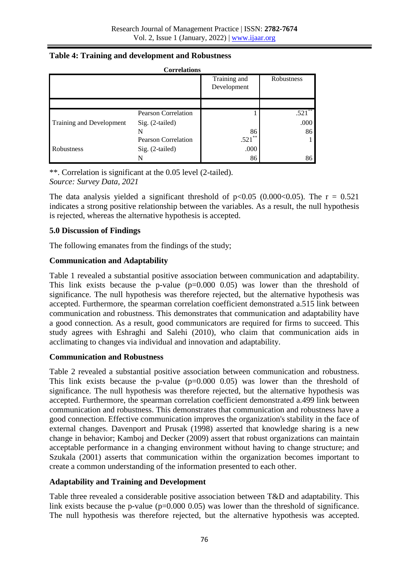| <b>Correlations</b>             |                            |                             |            |  |
|---------------------------------|----------------------------|-----------------------------|------------|--|
|                                 |                            | Training and<br>Development | Robustness |  |
|                                 |                            |                             |            |  |
| <b>Training and Development</b> | <b>Pearson Correlation</b> |                             | $.521***$  |  |
|                                 | $Sig. (2-tailed)$          |                             | .000       |  |
|                                 |                            | 86                          | 86         |  |
| Robustness                      | <b>Pearson Correlation</b> | **<br>.521                  |            |  |
|                                 | Sig. (2-tailed)            | .000                        |            |  |
|                                 |                            | 86                          | 86         |  |

## **Table 4: Training and development and Robustness**

\*\*. Correlation is significant at the 0.05 level (2-tailed). *Source: Survey Data, 2021*

The data analysis yielded a significant threshold of  $p<0.05$  (0.000 $<0.05$ ). The r = 0.521 indicates a strong positive relationship between the variables. As a result, the null hypothesis is rejected, whereas the alternative hypothesis is accepted.

## **5.0 Discussion of Findings**

The following emanates from the findings of the study;

## **Communication and Adaptability**

Table 1 revealed a substantial positive association between communication and adaptability. This link exists because the p-value  $(p=0.000 0.05)$  was lower than the threshold of significance. The null hypothesis was therefore rejected, but the alternative hypothesis was accepted. Furthermore, the spearman correlation coefficient demonstrated a.515 link between communication and robustness. This demonstrates that communication and adaptability have a good connection. As a result, good communicators are required for firms to succeed. This study agrees with Eshraghi and Salehi (2010), who claim that communication aids in acclimating to changes via individual and innovation and adaptability.

## **Communication and Robustness**

Table 2 revealed a substantial positive association between communication and robustness. This link exists because the p-value  $(p=0.000 0.05)$  was lower than the threshold of significance. The null hypothesis was therefore rejected, but the alternative hypothesis was accepted. Furthermore, the spearman correlation coefficient demonstrated a.499 link between communication and robustness. This demonstrates that communication and robustness have a good connection. Effective communication improves the organization's stability in the face of external changes. Davenport and Prusak (1998) asserted that knowledge sharing is a new change in behavior; Kamboj and Decker (2009) assert that robust organizations can maintain acceptable performance in a changing environment without having to change structure; and Szukala (2001) asserts that communication within the organization becomes important to create a common understanding of the information presented to each other.

## **Adaptability and Training and Development**

Table three revealed a considerable positive association between T&D and adaptability. This link exists because the p-value  $(p=0.000 0.05)$  was lower than the threshold of significance. The null hypothesis was therefore rejected, but the alternative hypothesis was accepted.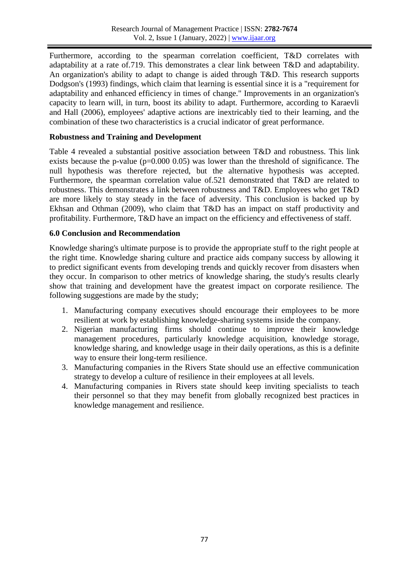Furthermore, according to the spearman correlation coefficient, T&D correlates with adaptability at a rate of.719. This demonstrates a clear link between T&D and adaptability. An organization's ability to adapt to change is aided through T&D. This research supports Dodgson's (1993) findings, which claim that learning is essential since it is a "requirement for adaptability and enhanced efficiency in times of change." Improvements in an organization's capacity to learn will, in turn, boost its ability to adapt. Furthermore, according to Karaevli and Hall (2006), employees' adaptive actions are inextricably tied to their learning, and the combination of these two characteristics is a crucial indicator of great performance.

## **Robustness and Training and Development**

Table 4 revealed a substantial positive association between T&D and robustness. This link exists because the p-value ( $p=0.000$  0.05) was lower than the threshold of significance. The null hypothesis was therefore rejected, but the alternative hypothesis was accepted. Furthermore, the spearman correlation value of.521 demonstrated that T&D are related to robustness. This demonstrates a link between robustness and T&D. Employees who get T&D are more likely to stay steady in the face of adversity. This conclusion is backed up by Ekhsan and Othman (2009), who claim that T&D has an impact on staff productivity and profitability. Furthermore, T&D have an impact on the efficiency and effectiveness of staff.

## **6.0 Conclusion and Recommendation**

Knowledge sharing's ultimate purpose is to provide the appropriate stuff to the right people at the right time. Knowledge sharing culture and practice aids company success by allowing it to predict significant events from developing trends and quickly recover from disasters when they occur. In comparison to other metrics of knowledge sharing, the study's results clearly show that training and development have the greatest impact on corporate resilience. The following suggestions are made by the study;

- 1. Manufacturing company executives should encourage their employees to be more resilient at work by establishing knowledge-sharing systems inside the company.
- 2. Nigerian manufacturing firms should continue to improve their knowledge management procedures, particularly knowledge acquisition, knowledge storage, knowledge sharing, and knowledge usage in their daily operations, as this is a definite way to ensure their long-term resilience.
- 3. Manufacturing companies in the Rivers State should use an effective communication strategy to develop a culture of resilience in their employees at all levels.
- 4. Manufacturing companies in Rivers state should keep inviting specialists to teach their personnel so that they may benefit from globally recognized best practices in knowledge management and resilience.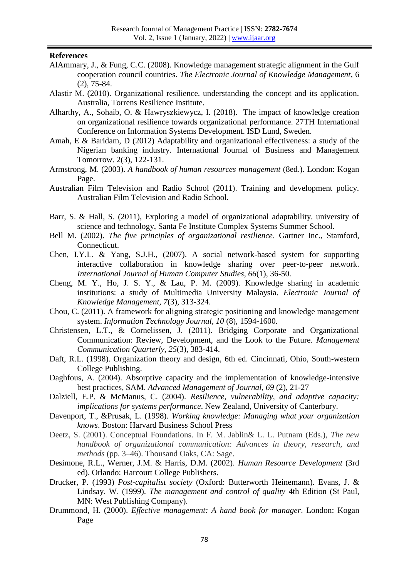#### **References**

- AlAmmary, J., & Fung, C.C. (2008). Knowledge management strategic alignment in the Gulf cooperation council countries. *The Electronic Journal of Knowledge Management*, 6 (2), 75-84.
- Alastir M. (2010). Organizational resilience. understanding the concept and its application. Australia, Torrens Resilience Institute.
- Alharthy, A., Sohaib, O. & Hawryszkiewycz, I. (2018). The impact of knowledge creation on organizational resilience towards organizational performance. 27TH International Conference on Information Systems Development. ISD Lund, Sweden.
- Amah, E & Baridam, D (2012) Adaptability and organizational effectiveness: a study of the Nigerian banking industry. International Journal of Business and Management Tomorrow. 2(3), 122-131.
- Armstrong, M. (2003). *A handbook of human resources management* (8ed.). London: Kogan Page.
- Australian Film Television and Radio School (2011). Training and development policy. Australian Film Television and Radio School.
- Barr, S. & Hall, S. (2011), Exploring a model of organizational adaptability. university of science and technology, Santa Fe Institute Complex Systems Summer School.
- Bell M. (2002). *The five principles of organizational resilience*. Gartner Inc., Stamford, Connecticut.
- Chen, I.Y.L. & Yang, S.J.H., (2007). A social network-based system for supporting interactive collaboration in knowledge sharing over peer-to-peer network. *International Journal of Human Computer Studies, 66*(1), 36-50.
- Cheng, M. Y., Ho, J. S. Y., & Lau, P. M. (2009). Knowledge sharing in academic institutions: a study of Multimedia University Malaysia. *Electronic Journal of Knowledge Management, 7*(3), 313-324.
- Chou, C. (2011). A framework for aligning strategic positioning and knowledge management system. *Information Technology Journal, 10* (8), 1594-1600.
- Christensen, L.T., & Cornelissen, J. (2011). Bridging Corporate and Organizational Communication: Review, Development, and the Look to the Future. *Management Communication Quarterly, 25*(3), 383-414.
- Daft, R.L. (1998). Organization theory and design, 6th ed. Cincinnati, Ohio, South-western College Publishing.
- Daghfous, A. (2004). Absorptive capacity and the implementation of knowledge-intensive best practices, SAM. *Advanced Management of Journal, 69* (2), 21-27
- Dalziell, E.P. & McManus, C. (2004). *Resilience, vulnerability, and adaptive capacity: implications for systems performance*. New Zealand, University of Canterbury.
- Davenport, T., &Prusak, L. (1998). *Working knowledge: Managing what your organization knows*. Boston: Harvard Business School Press
- Deetz, S. (2001). Conceptual Foundations. In F. M. Jablin& L. L. Putnam (Eds.), *The new handbook of organizational communication: Advances in theory, research, and methods* (pp. 3–46). Thousand Oaks, CA: Sage.
- Desimone, R.L., Werner, J.M. & Harris, D.M. (2002). *Human Resource Development* (3rd ed). Orlando: Harcourt College Publishers.
- Drucker, P. (1993) *Post-capitalist society* (Oxford: Butterworth Heinemann). Evans, J. & Lindsay. W. (1999). *The management and control of quality* 4th Edition (St Paul, MN: West Publishing Company).
- Drummond, H. (2000). *Effective management: A hand book for manager*. London: Kogan Page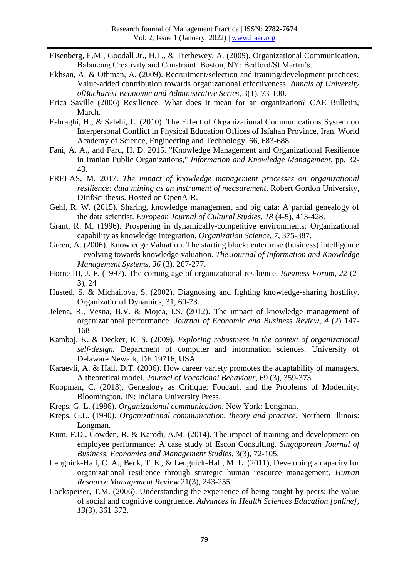- Eisenberg, E.M., Goodall Jr., H.L., & Trethewey, A. (2009). Organizational Communication. Balancing Creativity and Constraint. Boston, NY: Bedford/St Martin's.
- Ekhsan, A. & Othman, A. (2009). Recruitment/selection and training/development practices: Value-added contribution towards organizational effectiveness, *Annals of University ofBucharest Economic and Administrative Series*, 3(1), 73-100.
- Erica Saville (2006) Resilience: What does it mean for an organization? CAE Bulletin, March.
- Eshraghi, H., & Salehi, L. (2010). The Effect of Organizational Communications System on Interpersonal Conflict in Physical Education Offices of Isfahan Province, Iran. World Academy of Science, Engineering and Technology, 66, 683-688.
- Fani, A. A., and Fard, H. D. 2015. "Knowledge Management and Organizational Resilience in Iranian Public Organizations," *Information and Knowledge Management*, pp. 32- 43.
- FRELAS, M. 2017. *The impact of knowledge management processes on organizational resilience: data mining as an instrument of measurement*. Robert Gordon University, DInfSci thesis. Hosted on OpenAIR.
- Gehl, R. W. (2015). Sharing, knowledge management and big data: A partial genealogy of the data scientist. *European Journal of Cultural Studies, 18* (4-5), 413-428.
- Grant, R. M. (1996). Prospering in dynamically-competitive environments: Organizational capability as knowledge integration. *Organization Science, 7*, 375-387.
- Green, A. (2006). Knowledge Valuation. The starting block: enterprise (business) intelligence – evolving towards knowledge valuation. *The Journal of Information and Knowledge Management Systems, 36* (3), 267-277.
- Horne III, J. F. (1997). The coming age of organizational resilience. *Business Forum, 22* (2- 3), 24
- Husted, S. & Michailova, S. (2002). Diagnosing and fighting knowledge-sharing hostility. Organizational Dynamics, 31, 60-73.
- Jelena, R., Vesna, B.V. & Mojca, I.S. (2012). The impact of knowledge management of organizational performance. *Journal of Economic and Business Review, 4* (2) 147- 168
- Kamboj, K. & Decker, K. S. (2009). *Exploring robustness in the context of organizational self-design.* Department of computer and information sciences. University of Delaware Newark, DE 19716, USA.
- Karaevli, A. & Hall, D.T. (2006). How career variety promotes the adaptability of managers. A theoretical model. *Journal of Vocational Behaviour*, 69 (3), 359-373.
- Koopman, C. (2013). Genealogy as Critique: Foucault and the Problems of Modernity. Bloomington, IN: Indiana University Press.
- Kreps, G. L. (1986). *Organizational communication*. New York: Longman.
- Kreps, G.L. (1990). *Organizational communication. theory and practice*. Northern Illinois: Longman.
- Kum, F.D., Cowden, R. & Karodi, A.M. (2014). The impact of training and development on employee performance: A case study of Escon Consulting. *Singaporean Journal of Business, Economics and Management Studies*, 3(3), 72-105.
- Lengnick-Hall, C. A., Beck, T. E., & Lengnick-Hall, M. L. (2011), Developing a capacity for organizational resilience through strategic human resource management. *Human Resource Management Review* 21(3), 243-255.
- Lockspeiser, T.M. (2006). Understanding the experience of being taught by peers: the value of social and cognitive congruence. *Advances in Health Sciences Education [online], 13*(3), 361-372.